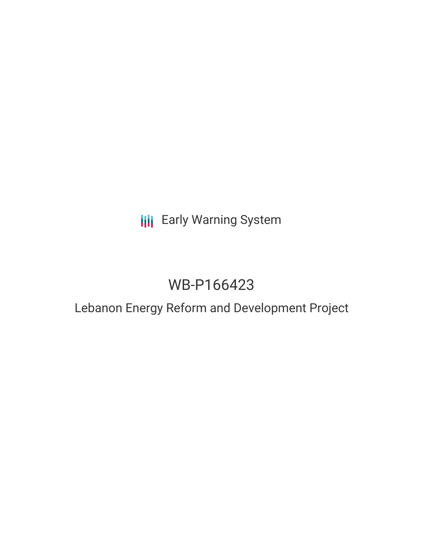**III** Early Warning System

# WB-P166423

# Lebanon Energy Reform and Development Project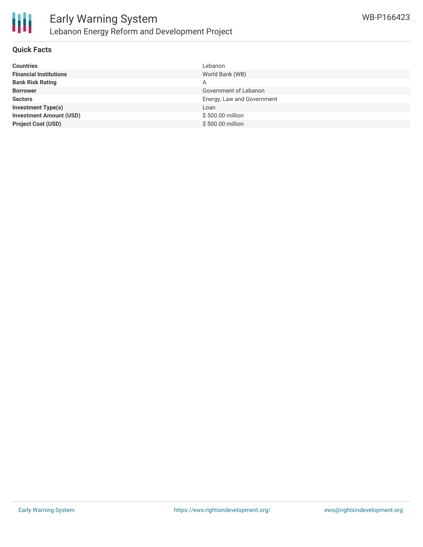

#### **Quick Facts**

| <b>Countries</b>               | Lebanon                    |
|--------------------------------|----------------------------|
| <b>Financial Institutions</b>  | World Bank (WB)            |
| <b>Bank Risk Rating</b>        | А                          |
| <b>Borrower</b>                | Government of Lebanon      |
| <b>Sectors</b>                 | Energy, Law and Government |
| <b>Investment Type(s)</b>      | Loan                       |
| <b>Investment Amount (USD)</b> | \$500.00 million           |
| <b>Project Cost (USD)</b>      | \$500,00 million           |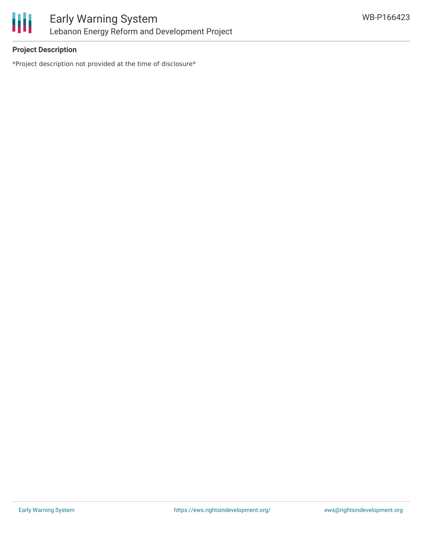

# **Project Description**

\*Project description not provided at the time of disclosure\*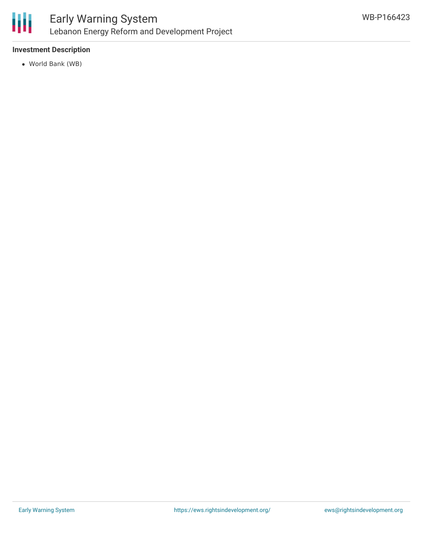

## **Investment Description**

World Bank (WB)